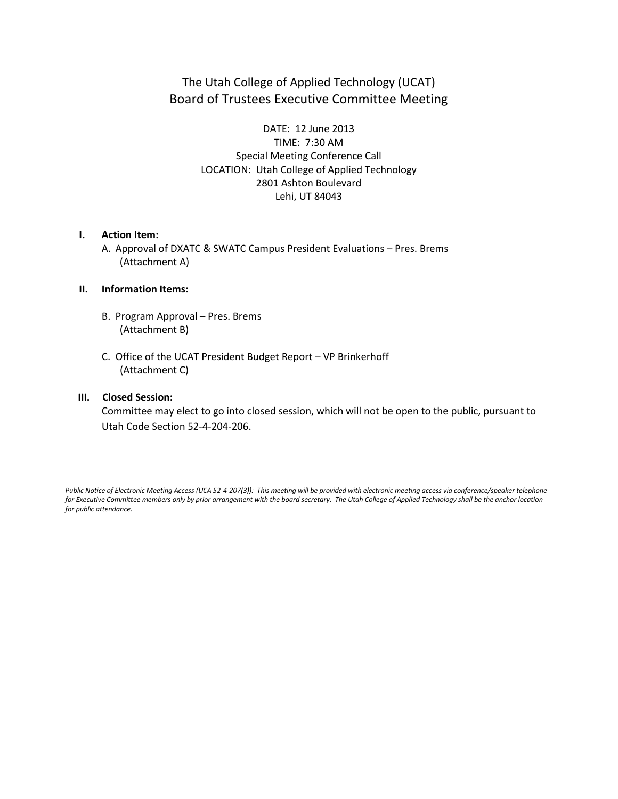## The Utah College of Applied Technology (UCAT) Board of Trustees Executive Committee Meeting

DATE: 12 June 2013 TIME: 7:30 AM Special Meeting Conference Call LOCATION: Utah College of Applied Technology 2801 Ashton Boulevard Lehi, UT 84043

#### **I. Action Item:**

A. Approval of DXATC & SWATC Campus President Evaluations – Pres. Brems (Attachment A)

### **II. Information Items:**

- B. Program Approval Pres. Brems (Attachment B)
- C. Office of the UCAT President Budget Report VP Brinkerhoff (Attachment C)

### **III. Closed Session:**

 Committee may elect to go into closed session, which will not be open to the public, pursuant to Utah Code Section 52-4-204-206.

*Public Notice of Electronic Meeting Access (UCA 52-4-207(3)): This meeting will be provided with electronic meeting access via conference/speaker telephone*  for Executive Committee members only by prior arrangement with the board secretary. The Utah College of Applied Technology shall be the anchor location *for public attendance.*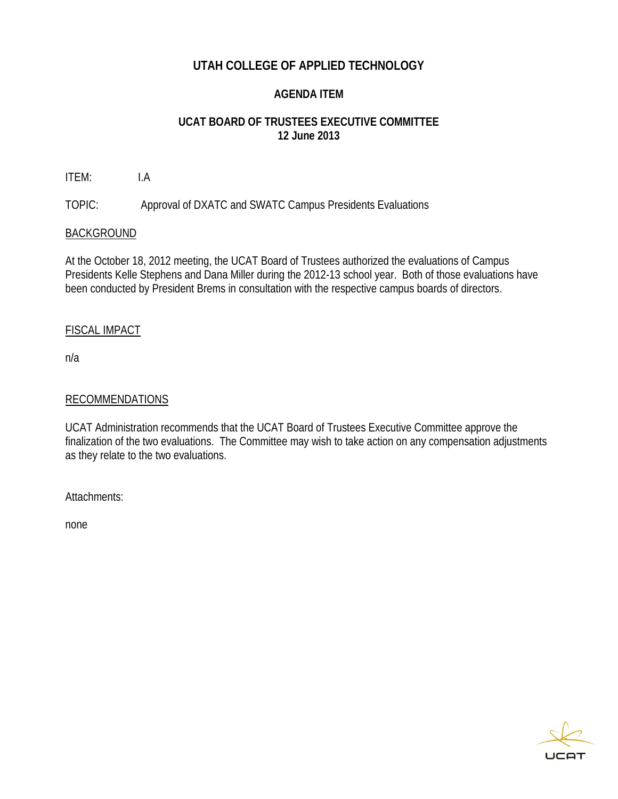## **UTAH COLLEGE OF APPLIED TECHNOLOGY**

## **AGENDA ITEM**

## **UCAT BOARD OF TRUSTEES EXECUTIVE COMMITTEE 12 June 2013**

ITEM: I.A

TOPIC: Approval of DXATC and SWATC Campus Presidents Evaluations

## BACKGROUND

At the October 18, 2012 meeting, the UCAT Board of Trustees authorized the evaluations of Campus Presidents Kelle Stephens and Dana Miller during the 2012-13 school year. Both of those evaluations have been conducted by President Brems in consultation with the respective campus boards of directors.

## FISCAL IMPACT

n/a

## RECOMMENDATIONS

UCAT Administration recommends that the UCAT Board of Trustees Executive Committee approve the finalization of the two evaluations. The Committee may wish to take action on any compensation adjustments as they relate to the two evaluations.

Attachments:

none

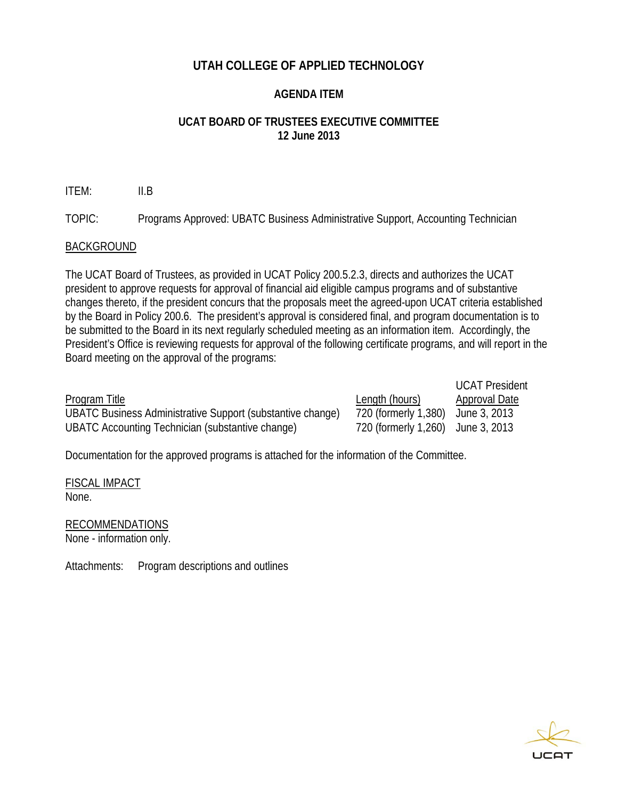## **UTAH COLLEGE OF APPLIED TECHNOLOGY**

## **AGENDA ITEM**

## **UCAT BOARD OF TRUSTEES EXECUTIVE COMMITTEE 12 June 2013**

ITEM: II.B

TOPIC: Programs Approved: UBATC Business Administrative Support, Accounting Technician

## BACKGROUND

The UCAT Board of Trustees, as provided in UCAT Policy 200.5.2.3, directs and authorizes the UCAT president to approve requests for approval of financial aid eligible campus programs and of substantive changes thereto, if the president concurs that the proposals meet the agreed-upon UCAT criteria established by the Board in Policy 200.6. The president's approval is considered final, and program documentation is to be submitted to the Board in its next regularly scheduled meeting as an information item. Accordingly, the President's Office is reviewing requests for approval of the following certificate programs, and will report in the Board meeting on the approval of the programs:

|                                                            |                                   | <b>UCAT President</b> |
|------------------------------------------------------------|-----------------------------------|-----------------------|
| <b>Program Title</b>                                       | Length (hours)                    | Approval Date         |
| UBATC Business Administrative Support (substantive change) | 720 (formerly 1,380)              | June 3, 2013          |
| UBATC Accounting Technician (substantive change)           | 720 (formerly 1,260) June 3, 2013 |                       |

Documentation for the approved programs is attached for the information of the Committee.

FISCAL IMPACT None.

## RECOMMENDATIONS

None - information only.

Attachments: Program descriptions and outlines

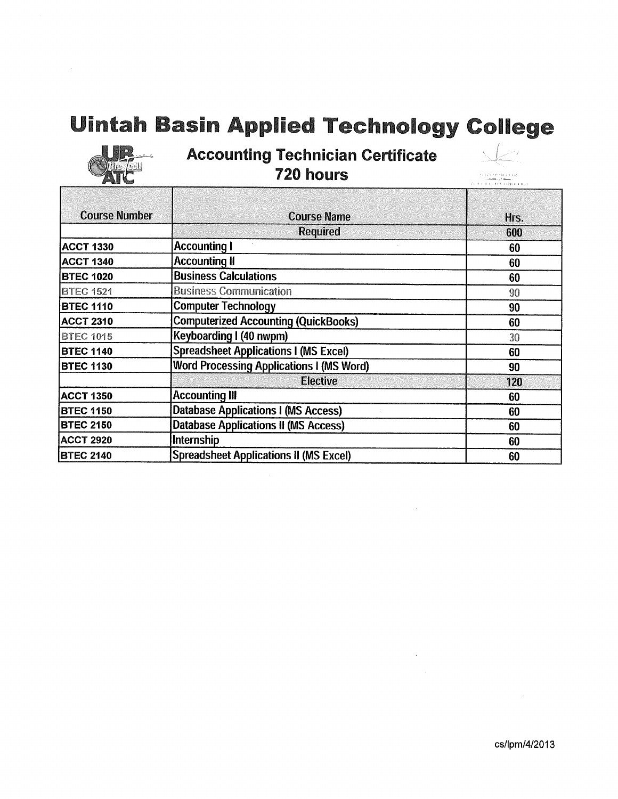## **Uintah Basin Applied Technology College**



 $\bar{z}$ 

## **Accounting Technician Certificate** 720 hours



 $\begin{array}{c} \alpha\left(\lambda\right)\left(\ell\right)\left(1+\epsilon\right)\left(1\right)\\ \gamma\left(\ell\right)=\alpha\left(\ell\right)\\ \lambda\left(\beta\right)=\mu\left(\epsilon\right)\left(\epsilon\right)\left(\ell\right)\left(\mu\right)\left(\alpha\right)\gamma\end{array}$ 

| <b>Course Number</b> | <b>Course Name</b>                              | Hrs. |  |
|----------------------|-------------------------------------------------|------|--|
|                      | <b>Required</b>                                 | 600  |  |
| <b>ACCT 1330</b>     | <b>Accounting I</b>                             | 60   |  |
| <b>ACCT 1340</b>     | <b>Accounting II</b>                            | 60   |  |
| <b>BTEC 1020</b>     | <b>Business Calculations</b>                    | 60   |  |
| <b>BTEC 1521</b>     | <b>Business Communication</b>                   | 90   |  |
| <b>BTEC 1110</b>     | <b>Computer Technology</b>                      | 90   |  |
| <b>ACCT 2310</b>     | <b>Computerized Accounting (QuickBooks)</b>     | 60   |  |
| <b>BTEC 1015</b>     | Keyboarding I (40 nwpm)                         | 30   |  |
| <b>BTEC 1140</b>     | <b>Spreadsheet Applications I (MS Excel)</b>    | 60   |  |
| <b>BTEC 1130</b>     | <b>Word Processing Applications I (MS Word)</b> | 90   |  |
|                      | <b>Elective</b>                                 | 120  |  |
| <b>ACCT 1350</b>     | <b>Accounting III</b>                           | 60   |  |
| <b>BTEC 1150</b>     | Database Applications I (MS Access)             | 60   |  |
| <b>BTEC 2150</b>     | <b>Database Applications II (MS Access)</b>     | 60   |  |
| <b>ACCT 2920</b>     | Internship                                      | 60   |  |
| <b>BTEC 2140</b>     | <b>Spreadsheet Applications II (MS Excel)</b>   | 60   |  |

 $\sim$ 

 $\sim$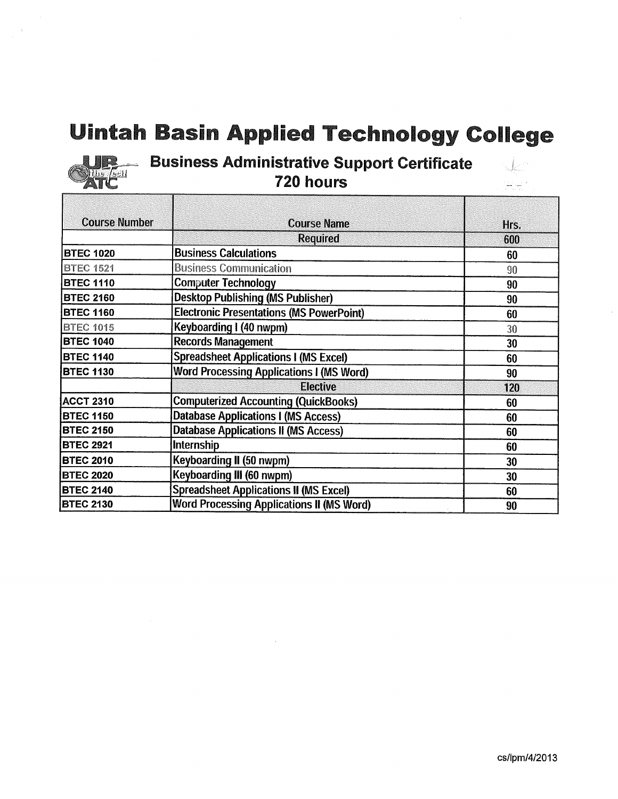# **Uintah Basin Applied Technology College**



# **Example 3 Business Administrative Support Certificate**

| <b>Course Number</b> | <b>Course Name</b>                               | Hrs. |  |
|----------------------|--------------------------------------------------|------|--|
|                      | <b>Required</b>                                  | 600  |  |
| <b>BTEC 1020</b>     | <b>Business Calculations</b>                     | 60   |  |
| <b>BTEC 1521</b>     | <b>Business Communication</b>                    | 90   |  |
| <b>BTEC 1110</b>     | <b>Computer Technology</b>                       | 90   |  |
| <b>BTEC 2160</b>     | <b>Desktop Publishing (MS Publisher)</b>         | 90   |  |
| <b>BTEC 1160</b>     | <b>Electronic Presentations (MS PowerPoint)</b>  | 60   |  |
| <b>BTEC 1015</b>     | Keyboarding I (40 nwpm)                          | 30   |  |
| <b>BTEC 1040</b>     | <b>Records Management</b>                        | 30   |  |
| <b>BTEC 1140</b>     | <b>Spreadsheet Applications I (MS Excel)</b>     | 60   |  |
| <b>BTEC 1130</b>     | <b>Word Processing Applications I (MS Word)</b>  | 90   |  |
|                      | <b>Elective</b>                                  | 120  |  |
| <b>ACCT 2310</b>     | <b>Computerized Accounting (QuickBooks)</b>      | 60   |  |
| <b>BTEC 1150</b>     | <b>Database Applications I (MS Access)</b>       | 60   |  |
| <b>BTEC 2150</b>     | <b>Database Applications II (MS Access)</b>      | 60   |  |
| <b>BTEC 2921</b>     | <b>Internship</b>                                | 60   |  |
| <b>BTEC 2010</b>     | Keyboarding II (50 nwpm)                         | 30   |  |
| <b>BTEC 2020</b>     | Keyboarding III (60 nwpm)                        | 30   |  |
| <b>BTEC 2140</b>     | <b>Spreadsheet Applications II (MS Excel)</b>    | 60   |  |
| <b>BTEC 2130</b>     | <b>Word Processing Applications II (MS Word)</b> | 90   |  |

 $\frac{1}{2} \int_{\mathbb{R}^d} \omega^{2} dx$ 

al an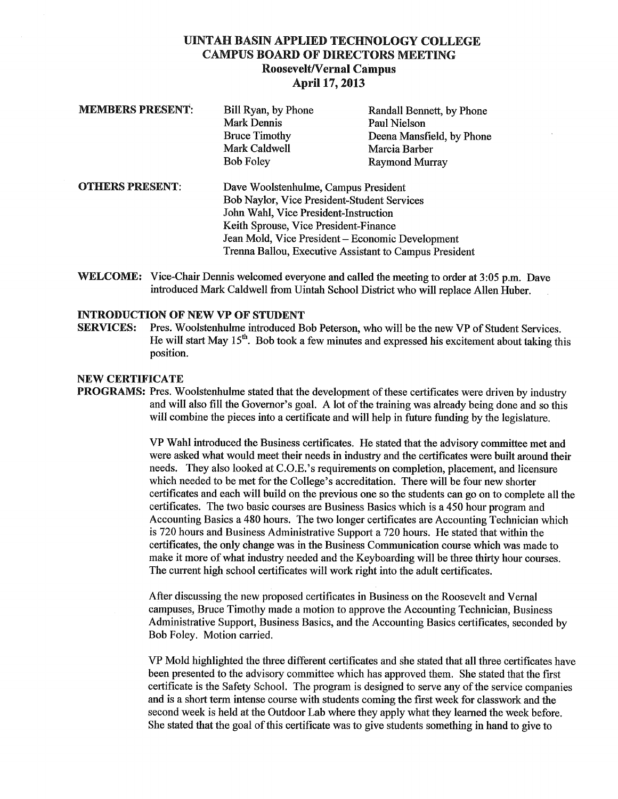## UINTAH BASIN APPLIED TECHNOLOGY COLLEGE **CAMPUS BOARD OF DIRECTORS MEETING Roosevelt/Vernal Campus** April 17, 2013

| <b>MEMBERS PRESENT:</b> | Bill Ryan, by Phone                                    | Randall Bennett, by Phone |  |
|-------------------------|--------------------------------------------------------|---------------------------|--|
|                         | Mark Dennis                                            | Paul Nielson              |  |
|                         | <b>Bruce Timothy</b>                                   | Deena Mansfield, by Phone |  |
|                         | Mark Caldwell                                          | Marcia Barber             |  |
|                         | <b>Bob Foley</b>                                       | <b>Raymond Murray</b>     |  |
| <b>OTHERS PRESENT:</b>  | Dave Woolstenhulme, Campus President                   |                           |  |
|                         | Bob Naylor, Vice President-Student Services            |                           |  |
|                         | John Wahl, Vice President-Instruction                  |                           |  |
|                         | Keith Sprouse, Vice President-Finance                  |                           |  |
|                         | Jean Mold, Vice President – Economic Development       |                           |  |
|                         | Trenna Ballou, Executive Assistant to Campus President |                           |  |

WELCOME: Vice-Chair Dennis welcomed everyone and called the meeting to order at 3:05 p.m. Dave introduced Mark Caldwell from Uintah School District who will replace Allen Huber.

#### **INTRODUCTION OF NEW VP OF STUDENT**

Pres. Woolstenhulme introduced Bob Peterson, who will be the new VP of Student Services. **SERVICES:** He will start May  $15<sup>th</sup>$ . Bob took a few minutes and expressed his excitement about taking this position.

#### **NEW CERTIFICATE**

**PROGRAMS:** Pres. Woolstenhulme stated that the development of these certificates were driven by industry and will also fill the Governor's goal. A lot of the training was already being done and so this will combine the pieces into a certificate and will help in future funding by the legislature.

> VP Wahl introduced the Business certificates. He stated that the advisory committee met and were asked what would meet their needs in industry and the certificates were built around their needs. They also looked at C.O.E.'s requirements on completion, placement, and licensure which needed to be met for the College's accreditation. There will be four new shorter certificates and each will build on the previous one so the students can go on to complete all the certificates. The two basic courses are Business Basics which is a 450 hour program and Accounting Basics a 480 hours. The two longer certificates are Accounting Technician which is 720 hours and Business Administrative Support a 720 hours. He stated that within the certificates, the only change was in the Business Communication course which was made to make it more of what industry needed and the Keyboarding will be three thirty hour courses. The current high school certificates will work right into the adult certificates.

After discussing the new proposed certificates in Business on the Roosevelt and Vernal campuses, Bruce Timothy made a motion to approve the Accounting Technician, Business Administrative Support, Business Basics, and the Accounting Basics certificates, seconded by Bob Foley. Motion carried.

VP Mold highlighted the three different certificates and she stated that all three certificates have been presented to the advisory committee which has approved them. She stated that the first certificate is the Safety School. The program is designed to serve any of the service companies and is a short term intense course with students coming the first week for classwork and the second week is held at the Outdoor Lab where they apply what they learned the week before. She stated that the goal of this certificate was to give students something in hand to give to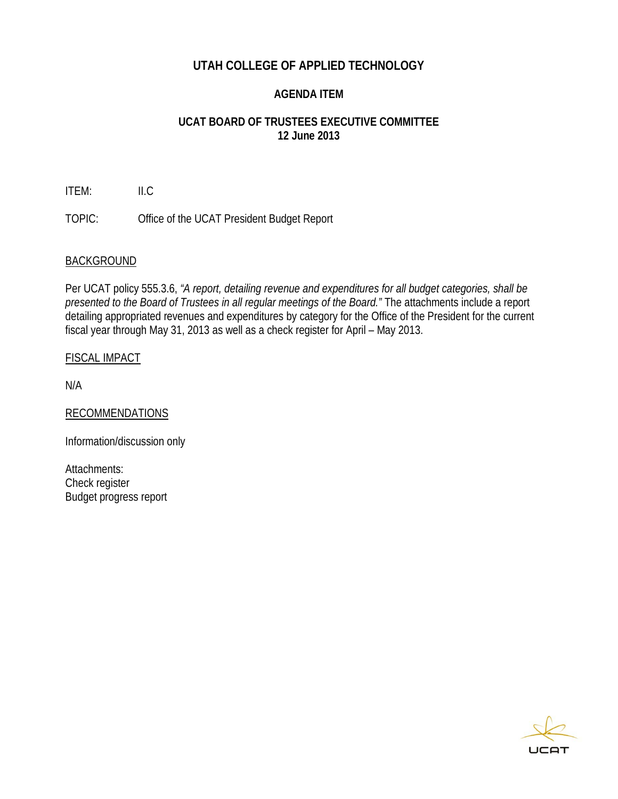## **UTAH COLLEGE OF APPLIED TECHNOLOGY**

## **AGENDA ITEM**

## **UCAT BOARD OF TRUSTEES EXECUTIVE COMMITTEE 12 June 2013**

ITEM: II.C

TOPIC: Office of the UCAT President Budget Report

## **BACKGROUND**

Per UCAT policy 555.3.6, *"A report, detailing revenue and expenditures for all budget categories, shall be presented to the Board of Trustees in all regular meetings of the Board."* The attachments include a report detailing appropriated revenues and expenditures by category for the Office of the President for the current fiscal year through May 31, 2013 as well as a check register for April – May 2013.

## FISCAL IMPACT

N/A

RECOMMENDATIONS

Information/discussion only

Attachments: Check register Budget progress report

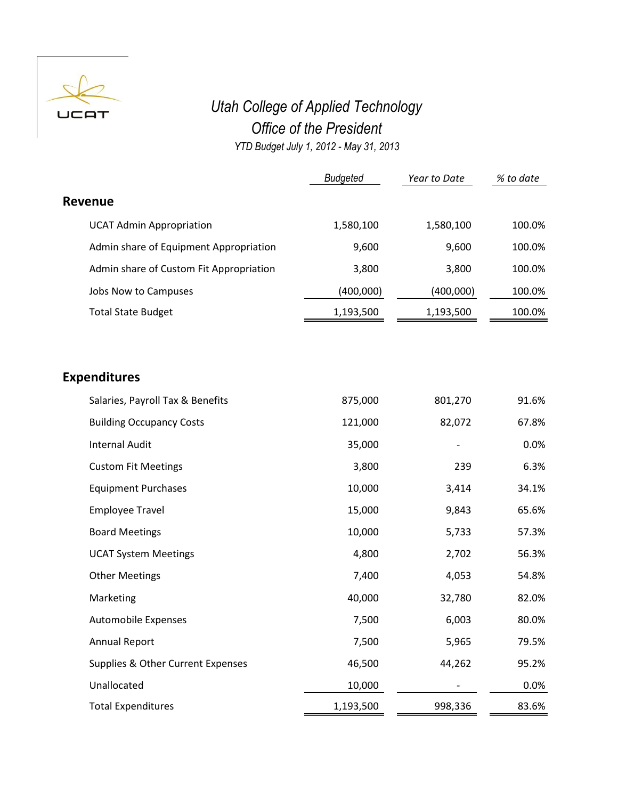

## *Utah College of Applied Technology Office of the President YTD Budget July 1, 2012 - May 31, 2013*

|                                         | <b>Budgeted</b> | Year to Date | % to date |
|-----------------------------------------|-----------------|--------------|-----------|
| Revenue                                 |                 |              |           |
| <b>UCAT Admin Appropriation</b>         | 1,580,100       | 1,580,100    | 100.0%    |
| Admin share of Equipment Appropriation  | 9,600           | 9,600        | 100.0%    |
| Admin share of Custom Fit Appropriation | 3,800           | 3,800        | 100.0%    |
| Jobs Now to Campuses                    | (400,000)       | (400,000)    | 100.0%    |
| <b>Total State Budget</b>               | 1,193,500       | 1,193,500    | 100.0%    |

## **Expenditures**

| Salaries, Payroll Tax & Benefits  | 875,000   | 801,270 | 91.6% |
|-----------------------------------|-----------|---------|-------|
| <b>Building Occupancy Costs</b>   | 121,000   | 82,072  | 67.8% |
| <b>Internal Audit</b>             | 35,000    |         | 0.0%  |
| <b>Custom Fit Meetings</b>        | 3,800     | 239     | 6.3%  |
| <b>Equipment Purchases</b>        | 10,000    | 3,414   | 34.1% |
| <b>Employee Travel</b>            | 15,000    | 9,843   | 65.6% |
| <b>Board Meetings</b>             | 10,000    | 5,733   | 57.3% |
| <b>UCAT System Meetings</b>       | 4,800     | 2,702   | 56.3% |
| <b>Other Meetings</b>             | 7,400     | 4,053   | 54.8% |
| Marketing                         | 40,000    | 32,780  | 82.0% |
| Automobile Expenses               | 7,500     | 6,003   | 80.0% |
| <b>Annual Report</b>              | 7,500     | 5,965   | 79.5% |
| Supplies & Other Current Expenses | 46,500    | 44,262  | 95.2% |
| Unallocated                       | 10,000    |         | 0.0%  |
| <b>Total Expenditures</b>         | 1,193,500 | 998,336 | 83.6% |